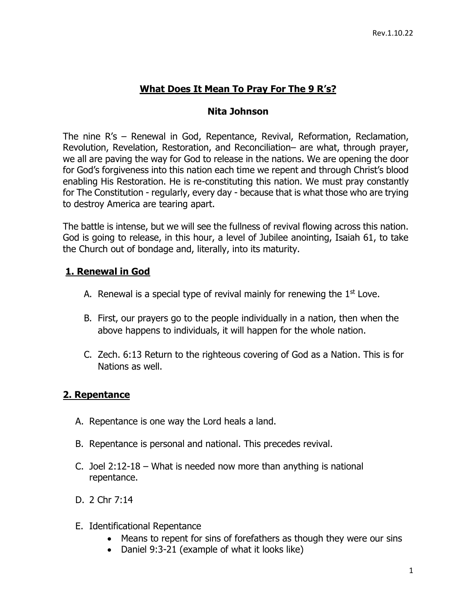## **What Does It Mean To Pray For The 9 R's?**

#### **Nita Johnson**

The nine R's – Renewal in God, Repentance, Revival, Reformation, Reclamation, Revolution, Revelation, Restoration, and Reconciliation– are what, through prayer, we all are paving the way for God to release in the nations. We are opening the door for God's forgiveness into this nation each time we repent and through Christ's blood enabling His Restoration. He is re-constituting this nation. We must pray constantly for The Constitution - regularly, every day - because that is what those who are trying to destroy America are tearing apart.

The battle is intense, but we will see the fullness of revival flowing across this nation. God is going to release, in this hour, a level of Jubilee anointing, Isaiah 61, to take the Church out of bondage and, literally, into its maturity.

### **1. Renewal in God**

- A. Renewal is a special type of revival mainly for renewing the  $1<sup>st</sup>$  Love.
- B. First, our prayers go to the people individually in a nation, then when the above happens to individuals, it will happen for the whole nation.
- C. Zech. 6:13 Return to the righteous covering of God as a Nation. This is for Nations as well.

### **2. Repentance**

- A. Repentance is one way the Lord heals a land.
- B. Repentance is personal and national. This precedes revival.
- C. Joel 2:12-18 What is needed now more than anything is national repentance.
- D. 2 Chr 7:14
- E. Identificational Repentance
	- Means to repent for sins of forefathers as though they were our sins
	- Daniel 9:3-21 (example of what it looks like)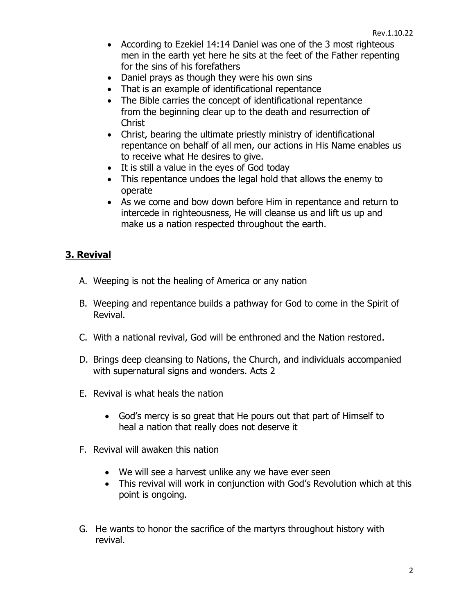- According to Ezekiel 14:14 Daniel was one of the 3 most righteous men in the earth yet here he sits at the feet of the Father repenting for the sins of his forefathers
- Daniel prays as though they were his own sins
- That is an example of identificational repentance
- The Bible carries the concept of identificational repentance from the beginning clear up to the death and resurrection of **Christ**
- Christ, bearing the ultimate priestly ministry of identificational repentance on behalf of all men, our actions in His Name enables us to receive what He desires to give.
- It is still a value in the eyes of God today
- This repentance undoes the legal hold that allows the enemy to operate
- As we come and bow down before Him in repentance and return to intercede in righteousness, He will cleanse us and lift us up and make us a nation respected throughout the earth.

## **3. Revival**

- A. Weeping is not the healing of America or any nation
- B. Weeping and repentance builds a pathway for God to come in the Spirit of Revival.
- C. With a national revival, God will be enthroned and the Nation restored.
- D. Brings deep cleansing to Nations, the Church, and individuals accompanied with supernatural signs and wonders. Acts 2
- E. Revival is what heals the nation
	- God's mercy is so great that He pours out that part of Himself to heal a nation that really does not deserve it
- F. Revival will awaken this nation
	- We will see a harvest unlike any we have ever seen
	- This revival will work in conjunction with God's Revolution which at this point is ongoing.
- G. He wants to honor the sacrifice of the martyrs throughout history with revival.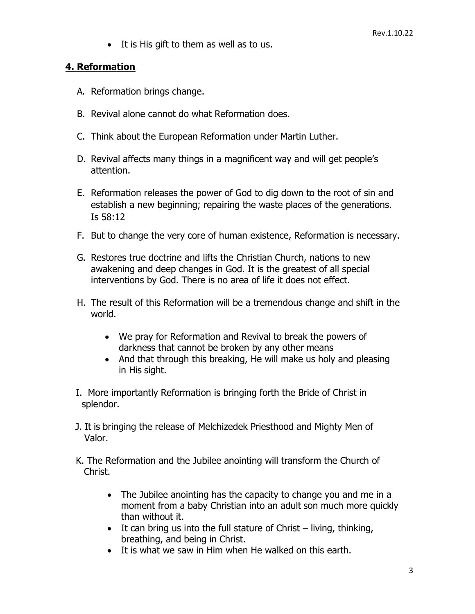• It is His gift to them as well as to us.

#### **4. Reformation**

- A. Reformation brings change.
- B. Revival alone cannot do what Reformation does.
- C. Think about the European Reformation under Martin Luther.
- D. Revival affects many things in a magnificent way and will get people's attention.
- E. Reformation releases the power of God to dig down to the root of sin and establish a new beginning; repairing the waste places of the generations. Is 58:12
- F. But to change the very core of human existence, Reformation is necessary.
- G. Restores true doctrine and lifts the Christian Church, nations to new awakening and deep changes in God. It is the greatest of all special interventions by God. There is no area of life it does not effect.
- H. The result of this Reformation will be a tremendous change and shift in the world.
	- We pray for Reformation and Revival to break the powers of darkness that cannot be broken by any other means
	- And that through this breaking, He will make us holy and pleasing in His sight.
- I. More importantly Reformation is bringing forth the Bride of Christ in splendor.
- J. It is bringing the release of Melchizedek Priesthood and Mighty Men of Valor.
- K. The Reformation and the Jubilee anointing will transform the Church of Christ.
	- The Jubilee anointing has the capacity to change you and me in a moment from a baby Christian into an adult son much more quickly than without it.
	- It can bring us into the full stature of Christ living, thinking, breathing, and being in Christ.
	- It is what we saw in Him when He walked on this earth.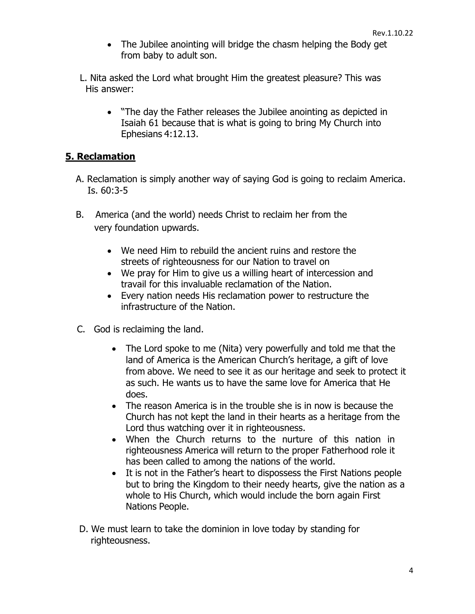• The Jubilee anointing will bridge the chasm helping the Body get from baby to adult son.

L. Nita asked the Lord what brought Him the greatest pleasure? This was His answer:

• "The day the Father releases the Jubilee anointing as depicted in Isaiah 61 because that is what is going to bring My Church into Ephesians 4:12.13.

## **5. Reclamation**

- A. Reclamation is simply another way of saying God is going to reclaim America. Is. 60:3-5
- B. America (and the world) needs Christ to reclaim her from the very foundation upwards.
	- We need Him to rebuild the ancient ruins and restore the streets of righteousness for our Nation to travel on
	- We pray for Him to give us a willing heart of intercession and travail for this invaluable reclamation of the Nation.
	- Every nation needs His reclamation power to restructure the infrastructure of the Nation.
- C. God is reclaiming the land.
	- The Lord spoke to me (Nita) very powerfully and told me that the land of America is the American Church's heritage, a gift of love from above. We need to see it as our heritage and seek to protect it as such. He wants us to have the same love for America that He does.
	- The reason America is in the trouble she is in now is because the Church has not kept the land in their hearts as a heritage from the Lord thus watching over it in righteousness.
	- When the Church returns to the nurture of this nation in righteousness America will return to the proper Fatherhood role it has been called to among the nations of the world.
	- It is not in the Father's heart to dispossess the First Nations people but to bring the Kingdom to their needy hearts, give the nation as a whole to His Church, which would include the born again First Nations People.
- D. We must learn to take the dominion in love today by standing for righteousness.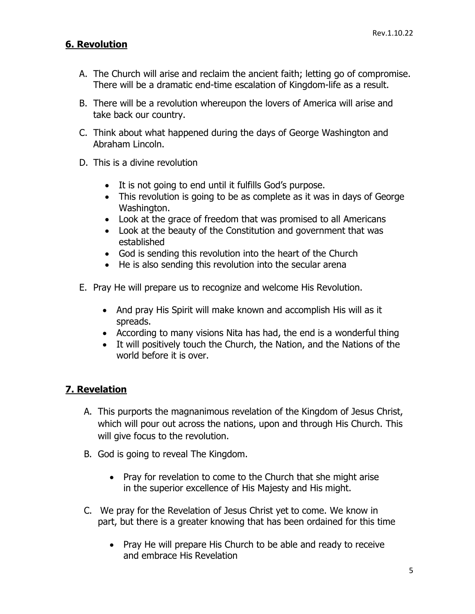## **6. Revolution**

- A. The Church will arise and reclaim the ancient faith; letting go of compromise. There will be a dramatic end-time escalation of Kingdom-life as a result.
- B. There will be a revolution whereupon the lovers of America will arise and take back our country.
- C. Think about what happened during the days of George Washington and Abraham Lincoln.
- D. This is a divine revolution
	- It is not going to end until it fulfills God's purpose.
	- This revolution is going to be as complete as it was in days of George Washington.
	- Look at the grace of freedom that was promised to all Americans
	- Look at the beauty of the Constitution and government that was established
	- God is sending this revolution into the heart of the Church
	- He is also sending this revolution into the secular arena
- E. Pray He will prepare us to recognize and welcome His Revolution.
	- And pray His Spirit will make known and accomplish His will as it spreads.
	- According to many visions Nita has had, the end is a wonderful thing
	- It will positively touch the Church, the Nation, and the Nations of the world before it is over.

# **7. Revelation**

- A. This purports the magnanimous revelation of the Kingdom of Jesus Christ, which will pour out across the nations, upon and through His Church. This will give focus to the revolution.
- B. God is going to reveal The Kingdom.
	- Pray for revelation to come to the Church that she might arise in the superior excellence of His Majesty and His might.
- C. We pray for the Revelation of Jesus Christ yet to come. We know in part, but there is a greater knowing that has been ordained for this time
	- Pray He will prepare His Church to be able and ready to receive and embrace His Revelation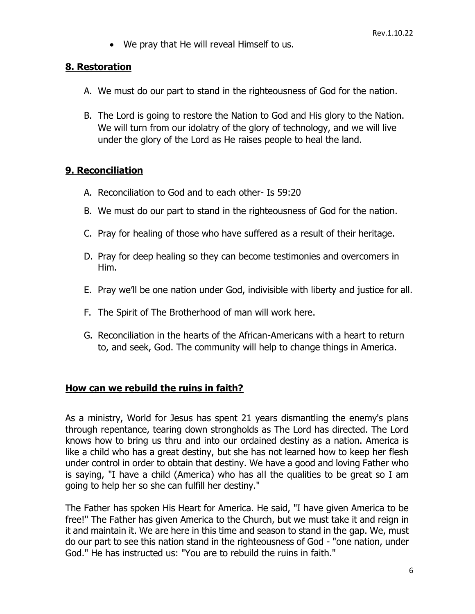• We pray that He will reveal Himself to us.

#### **8. Restoration**

- A. We must do our part to stand in the righteousness of God for the nation.
- B. The Lord is going to restore the Nation to God and His glory to the Nation. We will turn from our idolatry of the glory of technology, and we will live under the glory of the Lord as He raises people to heal the land.

#### **9. Reconciliation**

- A. Reconciliation to God and to each other- Is 59:20
- B. We must do our part to stand in the righteousness of God for the nation.
- C. Pray for healing of those who have suffered as a result of their heritage.
- D. Pray for deep healing so they can become testimonies and overcomers in Him.
- E. Pray we'll be one nation under God, indivisible with liberty and justice for all.
- F. The Spirit of The Brotherhood of man will work here.
- G. Reconciliation in the hearts of the African-Americans with a heart to return to, and seek, God. The community will help to change things in America.

### **How can we rebuild the ruins in faith?**

As a ministry, World for Jesus has spent 21 years dismantling the enemy's plans through repentance, tearing down strongholds as The Lord has directed. The Lord knows how to bring us thru and into our ordained destiny as a nation. America is like a child who has a great destiny, but she has not learned how to keep her flesh under control in order to obtain that destiny. We have a good and loving Father who is saying, "I have a child (America) who has all the qualities to be great so I am going to help her so she can fulfill her destiny."

The Father has spoken His Heart for America. He said, "I have given America to be free!" The Father has given America to the Church, but we must take it and reign in it and maintain it. We are here in this time and season to stand in the gap. We, must do our part to see this nation stand in the righteousness of God - "one nation, under God." He has instructed us: "You are to rebuild the ruins in faith."